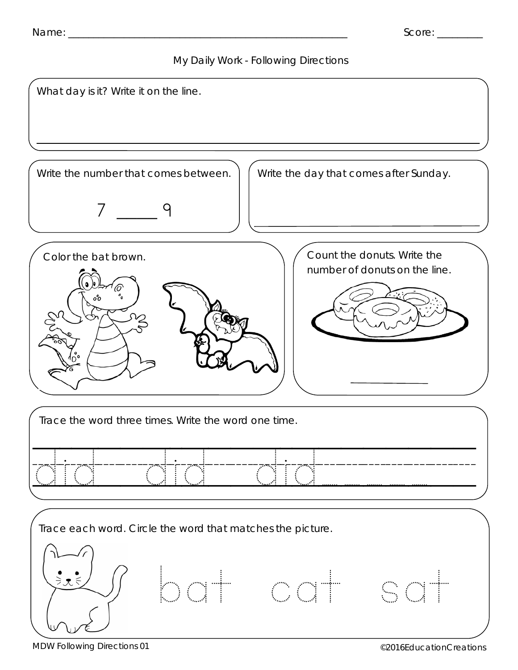



MDW Following Directions 01 **Contract of the CONTEX CONTRACTER CONTRACTER** CONTROLLER CONTRACTED **CONTRACTER** CONTROLLER CONTRACTED **CONTRACTED** CONTRACTED **CONTRACTED** CONTRACTED **CONTRACTED** CONTRACTED **CONTRACTED** CONTR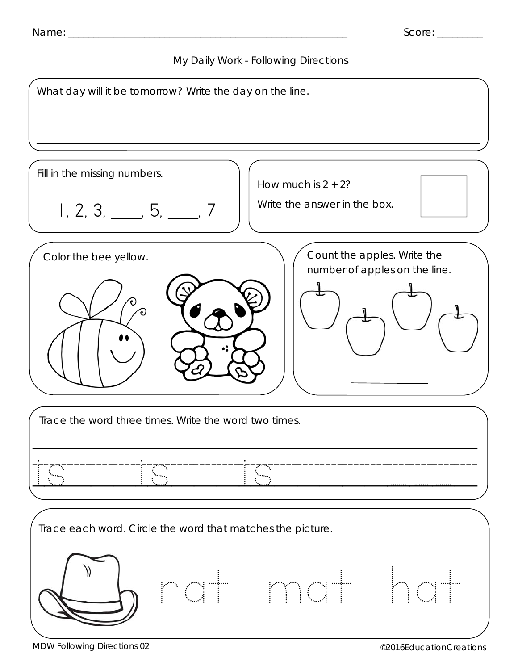



MDW Following Directions 02 **Contractions** Contraction Creations **CONFIDENTIAL CONTRACTIONS**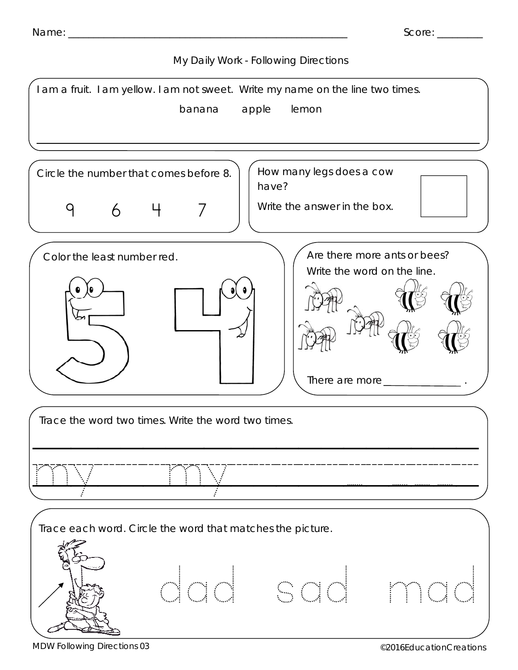



MDW Following Directions 03 **CONFINGITY CONTROL** CONTROLLER CONTROLLER CONTROLLER CONTROLLER CONTROLLER CONTROLLER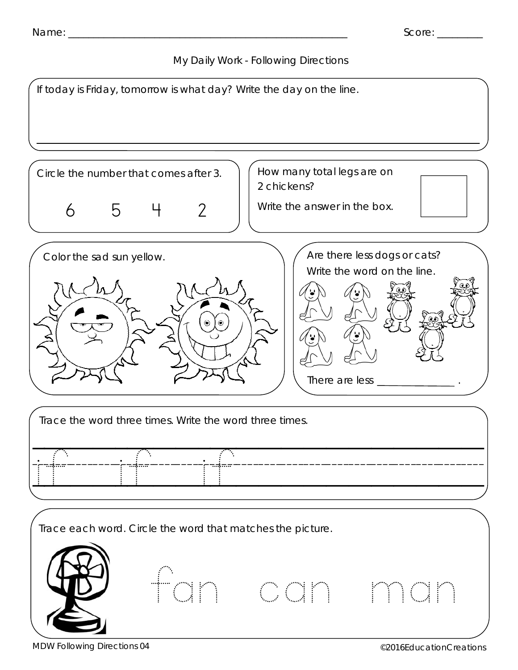



MDW Following Directions 04 **CONFINGITY CONTROL** CONTROLLER CONTROLLER CONTROLLER CONTROLLER CONTROLLER CONTROLLER